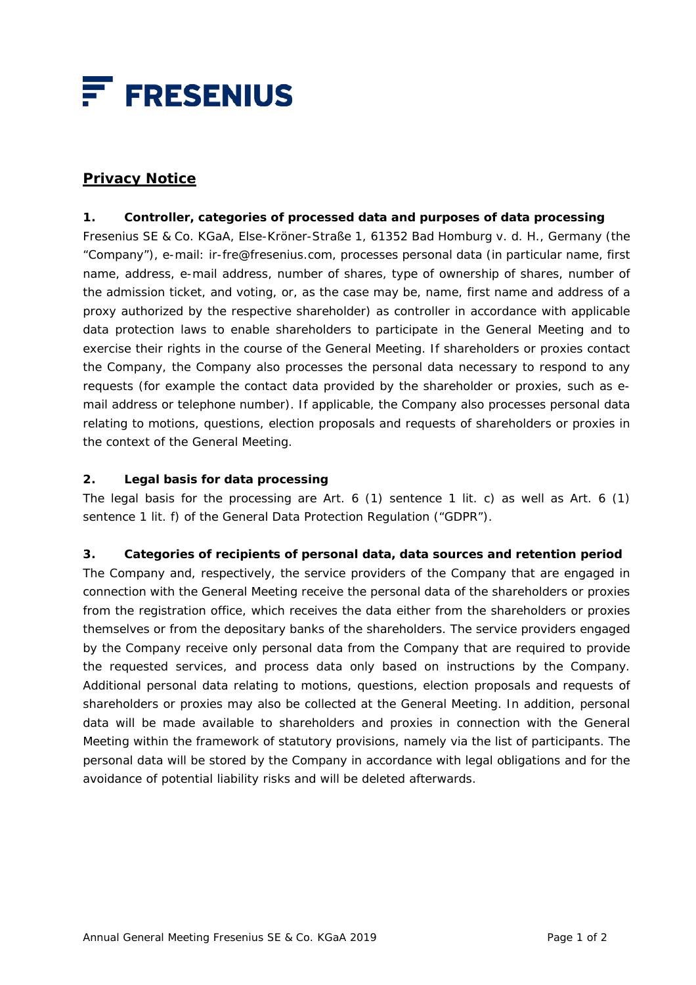

# **Privacy Notice**

### **1. Controller, categories of processed data and purposes of data processing**

Fresenius SE & Co. KGaA, Else-Kröner-Straße 1, 61352 Bad Homburg v. d. H., Germany (the "Company"), e-mail: ir-fre@fresenius.com, processes personal data (in particular name, first name, address, e-mail address, number of shares, type of ownership of shares, number of the admission ticket, and voting, or, as the case may be, name, first name and address of a proxy authorized by the respective shareholder) as controller in accordance with applicable data protection laws to enable shareholders to participate in the General Meeting and to exercise their rights in the course of the General Meeting. If shareholders or proxies contact the Company, the Company also processes the personal data necessary to respond to any requests (for example the contact data provided by the shareholder or proxies, such as email address or telephone number). If applicable, the Company also processes personal data relating to motions, questions, election proposals and requests of shareholders or proxies in the context of the General Meeting.

#### **2. Legal basis for data processing**

The legal basis for the processing are Art. 6 (1) sentence 1 lit. c) as well as Art. 6 (1) sentence 1 lit. f) of the General Data Protection Regulation ("GDPR").

#### **3. Categories of recipients of personal data, data sources and retention period**

The Company and, respectively, the service providers of the Company that are engaged in connection with the General Meeting receive the personal data of the shareholders or proxies from the registration office, which receives the data either from the shareholders or proxies themselves or from the depositary banks of the shareholders. The service providers engaged by the Company receive only personal data from the Company that are required to provide the requested services, and process data only based on instructions by the Company. Additional personal data relating to motions, questions, election proposals and requests of shareholders or proxies may also be collected at the General Meeting. In addition, personal data will be made available to shareholders and proxies in connection with the General Meeting within the framework of statutory provisions, namely via the list of participants. The personal data will be stored by the Company in accordance with legal obligations and for the avoidance of potential liability risks and will be deleted afterwards.